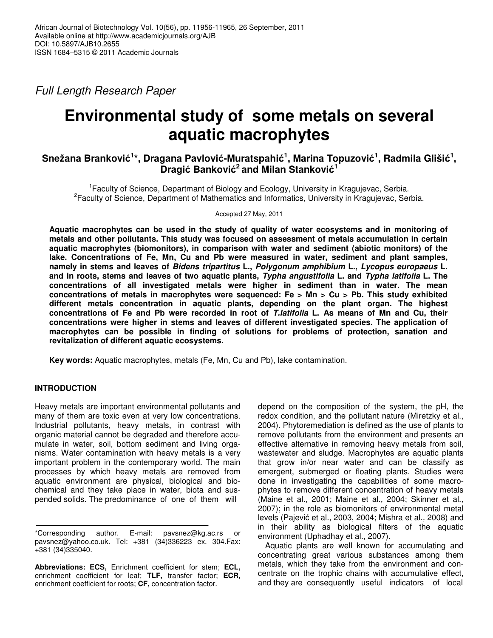*Full Length Research Paper*

# **Environmental study of some metals on several aquatic macrophytes**

# $\boldsymbol{\delta}$ Snežana Branković $^{1*}$ , Dragana Pavlović-Muratspahić $^{1}$ , Marina Topuzović $^{1}$ , Radmila Glišić $^{1}$ , **Dragić Banković<sup>2</sup> and Milan Stanković<sup>1</sup>**

<sup>1</sup> Faculty of Science, Departmant of Biology and Ecology, University in Kragujevac, Serbia. <sup>2</sup> Faculty of Science, Department of Mathematics and Informatics, University in Kragujevac, Serbia.

Accepted 27 May, 2011

**Aquatic macrophytes can be used in the study of quality of water ecosystems and in monitoring of metals and other pollutants. This study was focused on assessment of metals accumulation in certain aquatic macrophytes (biomonitors), in comparison with water and sediment (abiotic monitors) of the lake. Concentrations of Fe, Mn, Cu and Pb were measured in water, sediment and plant samples, namely in stems and leaves of** *Bidens tripartitus* **L.,** *Polygonum amphibium* **L.,** *Lycopus europaeus* **L.** and in roots, stems and leaves of two aquatic plants, Typha angustifolia L, and Typha latifolia L. The **concentrations of all investigated metals were higher in sediment than in water. The mean concentrations of metals in macrophytes were sequenced: Fe > Mn > Cu > Pb. This study exhibited different metals concentration in aquatic plants, depending on the plant organ. The highest** concentrations of Fe and Pb were recorded in root of T.latifolia L. As means of Mn and Cu, their **concentrations were higher in stems and leaves of different investigated species. The application of macrophytes can be possible in finding of solutions for problems of protection, sanation and revitalization of different aquatic ecosystems.**

**Key words:** Aquatic macrophytes, metals (Fe, Mn, Cu and Pb), lake contamination.

# **INTRODUCTION**

Heavy metals are important environmental pollutants and many of them are toxic even at very low concentrations. Industrial pollutants, heavy metals, in contrast with organic material cannot be degraded and therefore accumulate in water, soil, bottom sediment and living organisms. Water contamination with heavy metals is a very important problem in the contemporary world. The main processes by which heavy metals are removed from aquatic environment are physical, biological and biochemical and they take place in water, biota and suspended solids. The predominance of one of them will

\*Corresponding author. E-mail: pavsnez@kg.ac.rs or pavsnez@yahoo.co.uk. Tel: +381 (34)336223 ex. 304.Fax: +381 (34)335040.

**Abbreviations: ECS,** Enrichment coefficient for stem; **ECL,** enrichment coefficient for leaf; **TLF,** transfer factor; **ECR,** enrichment coefficient for roots; **CF,** concentration factor.

depend on the composition of the system, the pH, the redox condition, and the pollutant nature (Miretzky et al., 2004). Phytoremediation is defined as the use of plants to remove pollutants from the environment and presents an effective alternative in removing heavy metals from soil, wastewater and sludge. Macrophytes are aquatic plants that grow in/or near water and can be classify as emergent, submerged or floating plants. Studies were done in investigating the capabilities of some macrophytes to remove different concentration of heavy metals (Maine et al*.,* 2001; Maine et al*.,* 2004; Skinner et al.*,* 2007); in the role as biomonitors of environmental metal levels (Pajević et al., 2003, 2004; Mishra et al., 2008) and in their ability as biological filters of the aquatic environment (Uphadhay et al.*,* 2007).

Aquatic plants are well known for accumulating and concentrating great various substances among them metals, which they take from the environment and concentrate on the trophic chains with accumulative effect, and they are consequently useful indicators of local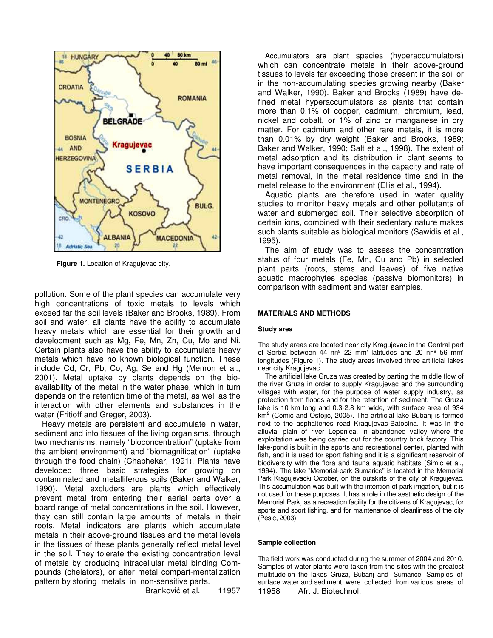

**Figure 1.** Location of Kragujevac city.

pollution. Some of the plant species can accumulate very high concentrations of toxic metals to levels which exceed far the soil levels (Baker and Brooks, 1989). From soil and water, all plants have the ability to accumulate heavy metals which are essential for their growth and development such as Mg, Fe, Mn, Zn, Cu, Mo and Ni. Certain plants also have the ability to accumulate heavy metals which have no known biological function. These include Cd, Cr, Pb, Co, Ag, Se and Hg (Memon et al., 2001). Metal uptake by plants depends on the bioavailability of the metal in the water phase, which in turn depends on the retention time of the metal, as well as the interaction with other elements and substances in the water (Fritioff and Greger, 2003).

Heavy metals are persistent and accumulate in water, sediment and into tissues of the living organisms, through two mechanisms, namely "bioconcentration" (uptake from the ambient environment) and "biomagnification" (uptake through the food chain) (Chaphekar, 1991). Plants have developed three basic strategies for growing on contaminated and metalliferous soils (Baker and Walker, 1990). Metal excluders are plants which effectively prevent metal from entering their aerial parts over a board range of metal concentrations in the soil. However, they can still contain large amounts of metals in their roots. Metal indicators are plants which accumulate metals in their above-ground tissues and the metal levels in the tissues of these plants generally reflect metal level in the soil. They tolerate the existing concentration level of metals by producing intracellular metal binding Compounds (chelators), or alter metal compart-mentalization pattern by storing metals in non-sensitive parts.

Branković et al. 11957

Accumulators are plant species (hyperaccumulators) which can concentrate metals in their above-ground tissues to levels far exceeding those present in the soil or in the non-accumulating species growing nearby (Baker and Walker, 1990). Baker and Brooks (1989) have defined metal hyperaccumulators as plants that contain more than 0.1% of copper, cadmium, chromium, lead, nickel and cobalt, or 1% of zinc or manganese in dry matter. For cadmium and other rare metals, it is more than 0.01% by dry weight (Baker and Brooks, 1989; Baker and Walker, 1990; Salt et al., 1998). The extent of metal adsorption and its distribution in plant seems to have important consequences in the capacity and rate of metal removal, in the metal residence time and in the metal release to the environment (Ellis et al., 1994).

Aquatic plants are therefore used in water quality studies to monitor heavy metals and other pollutants of water and submerged soil. Their selective absorption of certain ions, combined with their sedentary nature makes such plants suitable as biological monitors (Sawidis et al., 1995).

The aim of study was to assess the concentration status of four metals (Fe, Mn, Cu and Pb) in selected plant parts (roots, stems and leaves) of five native aquatic macrophytes species (passive biomonitors) in comparison with sediment and water samples.

#### **MATERIALS AND METHODS**

#### **Study area**

The study areas are located near city Kragujevac in the Central part of Serbia between 44 nnº 22 mm' latitudes and 20 nnº 56 mm' longitudes (Figure 1). The study areas involved three artificial lakes near city Kragujevac.

The artificial lake Gruza was created by parting the middle flow of the river Gruza in order to supply Kragujevac and the surrounding villages with water, for the purpose of water supply industry, as protection from floods and for the retention of sediment. The Gruza lake is 10 km long and 0.3-2.8 km wide, with surface area of 934 km<sup>2</sup> (Comic and Ostojic, 2005). The artificial lake Bubanj is formed next to the asphaltenes road Kragujevac-Batocina. It was in the alluvial plain of river Lepenica, in abandoned valley where the exploitation was being carried out for the country brick factory. This lake-pond is built in the sports and recreational center, planted with fish, and it is used for sport fishing and it is a significant reservoir of biodiversity with the flora and fauna aquatic habitats (Simic et al., 1994). The lake "Memorial-park Sumarice" is located in the Memorial Park Kragujevacki October, on the outskirts of the city of Kragujevac. This accumulation was built with the intention of park irrigation, but it is not used for these purposes. It has a role in the aesthetic design of the Memorial Park, as a recreation facility for the citizens of Kragujevac, for sports and sport fishing, and for maintenance of cleanliness of the city (Pesic, 2003).

#### **Sample collection**

The field work was conducted during the summer of 2004 and 2010. Samples of water plants were taken from the sites with the greatest multitude on the lakes Gruza, Bubanj and Sumarice. Samples of surface water and sediment were collected from various areas of 11958 Afr. J. Biotechnol.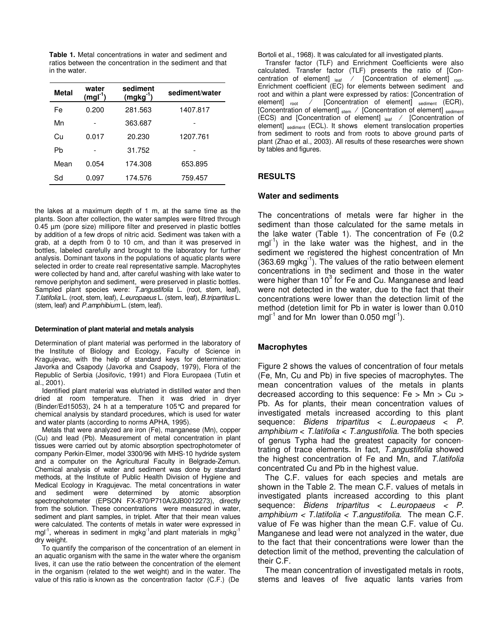**Table 1.** Metal concentrations in water and sediment and ratios between the concentration in the sediment and that in the water.

| <b>Metal</b> | water<br>$(mgl-1)$ | sediment<br>$(mgkg^{-1})$ | sediment/water |  |  |
|--------------|--------------------|---------------------------|----------------|--|--|
| Fe           | 0.200              | 281.563                   | 1407.817       |  |  |
| Mn           |                    | 363.687                   |                |  |  |
| Сu           | 0.017              | 20.230                    | 1207.761       |  |  |
| Pb           |                    | 31.752                    |                |  |  |
| Mean         | 0.054              | 174.308                   | 653.895        |  |  |
| Sd           | 0.097              | 174.576                   | 759.457        |  |  |

the lakes at a maximum depth of 1 m, at the same time as the plants. Soon after collection, the water samples were filtred through 0.45 µm (pore size) millipore filter and preserved in plastic bottles by addition of a few drops of nitric acid. Sediment was taken with a grab, at a depth from 0 to 10 cm, and than it was preserved in bottles, labeled carefully and brought to the laboratory for further analysis. Dominant taxons in the populations of aquatic plants were selected in order to create real representative sample. Macrophytes were collected by hand and, after careful washing with lake water to remove periphyton and sediment, were preserved in plastic bottles. Sampled plant species were: *T.angustifolia* L. (root, stem, leaf), *T.latifolia* L. (root, stem, leaf), *L.europaeus* L. (stem, leaf), *B.tripartitus* L. (stem, leaf) and *P.amphibium* L. (stem, leaf).

#### **Determination of plant material and metals analysis**

Determination of plant material was performed in the laboratory of the Institute of Biology and Ecology, Faculty of Science in Kragujevac, with the help of standard keys for determination: Javorka and Csapody (Javorka and Csapody, 1979), Flora of the Republic of Serbia (Josifovic, 1991) and Flora Europaea (Tutin et al., 2001).

Identified plant material was elutriated in distilled water and then dried at room temperature. Then it was dried in dryer (Binder/Ed15053), 24 h at a temperature 105°C and prepared for chemical analysis by standard procedures, which is used for water and water plants (according to norms APHA, 1995).

Metals that were analyzed are iron (Fe), manganese (Mn), copper (Cu) and lead (Pb). Measurement of metal concentration in plant tissues were carried out by atomic absorption spectrophotometer of company Perkin-Elmer, model 3300/96 with MHS-10 hydride system and a computer on the Agricultural Faculty in Belgrade-Zemun. Chemical analysis of water and sediment was done by standard methods, at the Institute of Public Health Division of Hygiene and Medical Ecology in Kragujevac. The metal concentrations in water and sediment were determined by atomic absorption spectrophotometer (EPSON FX-870/P710A/2JB0012273), directly from the solution. These concentrations were measured in water, sediment and plant samples, in triplet. After that their mean values were calculated. The contents of metals in water were expressed in mgl<sup>-1</sup>, whereas in sediment in mgkg<sup>-1</sup>and plant materials in mgkg<sup>-1</sup> dry weight.

To quantify the comparison of the concentration of an element in an aquatic organism with the same in the water where the organism lives, it can use the ratio between the concentration of the element in the organism (related to the wet weight) and in the water. The value of this ratio is known as the concentration factor (C.F.) (De

Bortoli et al., 1968). It was calculated for all investigated plants.

Transfer factor (TLF) and Enrichment Coefficients were also calculated. Transfer factor (TLF) presents the ratio of [Concentration of element]  $_{leaf}$  / [Concentration of element]  $_{root}$ . Enrichment coefficient (EC) for elements between sediment and root and within a plant were expressed by ratios: [Concentration of element] root / [Concentration of element] sediment (ECR), [Concentration of element] stem / [Concentration of element] sediment (ECS) and [Concentration of element] leaf ⁄ [Concentration of element] sediment (ECL). It shows element translocation properties from sediment to roots and from roots to above ground parts of plant (Zhao et al., 2003). All results of these researches were shown by tables and figures.

## **RESULTS**

#### **Water and sediments**

The concentrations of metals were far higher in the sediment than those calculated for the same metals in the lake water (Table 1). The concentration of Fe (0.2 mgl<sup>-1</sup>) in the lake water was the highest, and in the sediment we registered the highest concentration of Mn  $(363.69 \text{ mgkg}^{-1})$ . The values of the ratio between element concentrations in the sediment and those in the water were higher than 10<sup>3</sup> for Fe and Cu. Manganese and lead were not detected in the water, due to the fact that their concentrations were lower than the detection limit of the method (detetion limit for Pb in water is lower than 0.010 mgl<sup>-1</sup> and for Mn lower than 0.050 mgl<sup>-1</sup>).

# **Macrophytes**

Figure 2 shows the values of concentration of four metals (Fe, Mn, Cu and Pb) in five species of macrophytes. The mean concentration values of the metals in plants decreased according to this sequence: Fe > Mn > Cu > Pb. As for plants, their mean concentration values of investigated metals increased according to this plant sequence: *Bidens tripartitus* < *L.europaeus* < *P. amphibium* < *T.latifolia* < *T.angustifolia*. The both species of genus Typha had the greatest capacity for concentrating of trace elements. In fact, *T.angustifolia* showed the highest concentration of Fe and Mn, and *T.latifolia* concentrated Cu and Pb in the highest value.

The C.F. values for each species and metals are shown in the Table 2. The mean C.F. values of metals in investigated plants increased according to this plant sequence: *Bidens tripartitus* < *L.europaeus < P. amphibium < T.latifolia < T.angustifolia*. The mean C.F. value of Fe was higher than the mean C.F. value of Cu. Manganese and lead were not analyzed in the water, due to the fact that their concentrations were lower than the detection limit of the method, preventing the calculation of their C.F.

The mean concentration of investigated metals in roots, stems and leaves of five aquatic lants varies from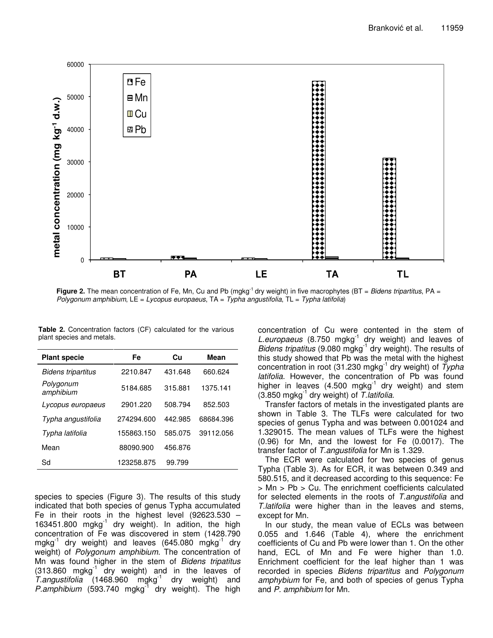

**Figure 2.** The mean concentration of Fe, Mn, Cu and Pb (mgkg<sup>-1</sup> dry weight) in five macrophytes (BT = *Bidens tripartitus*, PA = *Polygonum amphibium*, LE = *Lycopus europaeus*, TA = *Typha angustifolia*, TL = *Typha latifolia*)

| <b>Plant specie</b>    | Fe         | Сu      | Mean      |  |
|------------------------|------------|---------|-----------|--|
| Bidens tripartitus     | 2210.847   | 431.648 | 660.624   |  |
| Polygonum<br>amphibium | 5184.685   | 315.881 | 1375.141  |  |
| Lycopus europaeus      | 2901.220   | 508.794 | 852.503   |  |
| Typha angustifolia     | 274294.600 | 442.985 | 68684.396 |  |
| Typha latifolia        | 155863.150 | 585.075 | 39112.056 |  |
| Mean                   | 88090.900  | 456.876 |           |  |
| Sd                     | 123258.875 | 99.799  |           |  |

**Table 2.** Concentration factors (CF) calculated for the various plant species and metals.

species to species (Figure 3). The results of this study indicated that both species of genus Typha accumulated Fe in their roots in the highest level (92623.530 – 163451.800 mgkg<sup>-1</sup> dry weight). In adition, the high concentration of Fe was discovered in stem (1428.790 mgkg<sup>-1</sup> dry weight) and leaves (645.080 mgkg<sup>-1</sup> dry weight) of *Polygonum amphibium*. The concentration of Mn was found higher in the stem of *Bidens tripatitus*  $(313.860$  mgkg<sup>1</sup> dry weight) and in the leaves of T.angustifolia (1468.960 mgkg<sup>-1</sup> dry weight) and P.amphibium (593.740 mgkg<sup>-1</sup> dry weight). The high

concentration of Cu were contented in the stem of L.europaeus (8.750 mgkg<sup>-1</sup> dry weight) and leaves of Bidens *tripatitus* (9.080 mgkg<sup>-1</sup> dry weight). The results of this study showed that Pb was the metal with the highest concentration in root (31.230 mgkg -1 dry weight) of *Typha latifolia*. However, the concentration of Pb was found higher in leaves (4.500 mgkg<sup>-1</sup> dry weight) and stem (3.850 mgkg -1 dry weight) of *T.latifolia*.

Transfer factors of metals in the investigated plants are shown in Table 3. The TLFs were calculated for two species of genus Typha and was between 0.001024 and 1.329015. The mean values of TLFs were the highest (0.96) for Mn, and the lowest for Fe (0.0017). The transfer factor of *T.angustifolia* for Mn is 1.329.

The ECR were calculated for two species of genus Typha (Table 3). As for ECR, it was between 0.349 and 580.515, and it decreased according to this sequence: Fe > Mn > Pb > Cu. The enrichment coefficients calculated for selected elements in the roots of *T.angustifolia* and *T.latifolia* were higher than in the leaves and stems, except for Mn.

In our study, the mean value of ECLs was between 0.055 and 1.646 (Table 4), where the enrichment coefficients of Cu and Pb were lower than 1. On the other hand, ECL of Mn and Fe were higher than 1.0. Enrichment coefficient for the leaf higher than 1 was recorded in species *Bidens tripartitus* and *Polygonum amphybium* for Fe, and both of species of genus Typha and *P. amphibium* for Mn.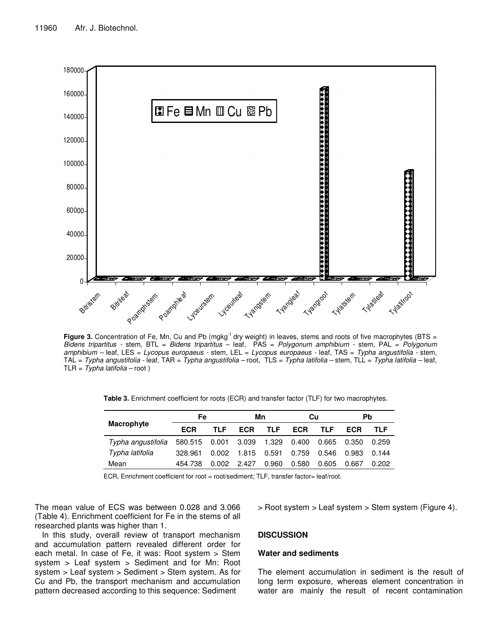

Figure 3. Concentration of Fe, Mn, Cu and Pb (mgkg<sup>-1</sup> dry weight) in leaves, stems and roots of five macrophytes (BTS = *Bidens tripartitus -* stem, BTL = *Bidens tripartitus* – leaf, PAS = *Polygonum amphibium -* stem, PAL = *Polygonum amphibium –* leaf, LES = *Lycopus europaeus -* stem, LEL = *Lycopus europaeus -* leaf, TAS = *Typha angustifolia -* stem, TAL = *Typha angustifolia -* leaf, TAR = *Typha angustifolia –* root, TLS = *Typha latifolia –* stem, TLL = *Typha latifolia –* leaf, TLR = *Typha latifolia –* root )

**Table 3.** Enrichment coefficient for roots (ECR) and transfer factor (TLF) for two macrophytes.

|                    | Fe                           |               | Mn         |             | Cu         |            | Pb         |       |
|--------------------|------------------------------|---------------|------------|-------------|------------|------------|------------|-------|
| Macrophyte         | ECR                          | TI F          | <b>ECR</b> | <b>TLF</b>  | <b>ECR</b> | <b>TLF</b> | <b>ECR</b> | TLF   |
| Typha angustifolia | 580.515  0.001  3.039  1.329 |               |            |             | 0.400      | 0.665      | 0.350      | 0.259 |
| Typha latifolia    | 328.961                      | 0.002         |            | 1.815 0.591 | 0.759      | 0.546      | 0.983      | 0.144 |
| Mean               | 454.738                      | $0.002$ 2.427 |            | 0.960       | 0.580      | 0.605      | 0.667      | 0.202 |

ECR, Enrichment coefficient for root = root/sediment; TLF, transfer factor= leaf/root.

The mean value of ECS was between 0.028 and 3.066 (Table 4). Enrichment coefficient for Fe in the stems of all researched plants was higher than 1.

In this study, overall review of transport mechanism and accumulation pattern revealed different order for each metal. In case of Fe, it was: Root system > Stem system > Leaf system > Sediment and for Mn: Root system > Leaf system > Sediment > Stem system. As for Cu and Pb, the transport mechanism and accumulation pattern decreased according to this sequence: Sediment

> Root system > Leaf system > Stem system (Figure 4).

## **DISCUSSION**

# **Water and sediments**

The element accumulation in sediment is the result of long term exposure, whereas element concentration in water are mainly the result of recent contamination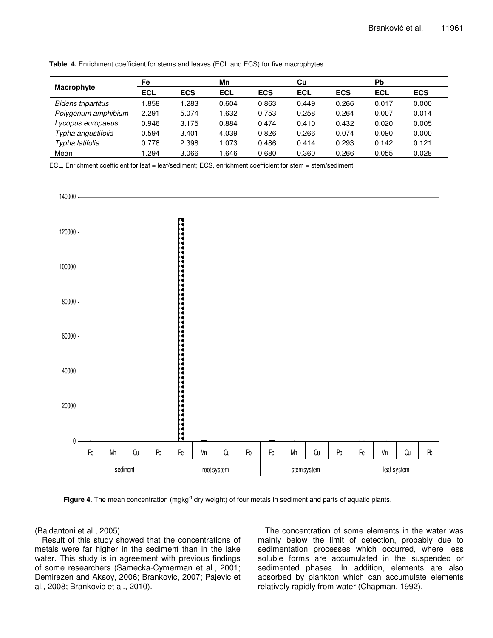|                           | Fe         |            | Mn         |            | Cu         |            | Pb         |            |
|---------------------------|------------|------------|------------|------------|------------|------------|------------|------------|
| Macrophyte                | <b>ECL</b> | <b>ECS</b> | <b>ECL</b> | <b>ECS</b> | <b>ECL</b> | <b>ECS</b> | <b>ECL</b> | <b>ECS</b> |
| <b>Bidens tripartitus</b> | .858       | .283       | 0.604      | 0.863      | 0.449      | 0.266      | 0.017      | 0.000      |
| Polygonum amphibium       | 2.291      | 5.074      | 1.632      | 0.753      | 0.258      | 0.264      | 0.007      | 0.014      |
| Lycopus europaeus         | 0.946      | 3.175      | 0.884      | 0.474      | 0.410      | 0.432      | 0.020      | 0.005      |
| Typha angustifolia        | 0.594      | 3.401      | 4.039      | 0.826      | 0.266      | 0.074      | 0.090      | 0.000      |
| Typha latifolia           | 0.778      | 2.398      | 1.073      | 0.486      | 0.414      | 0.293      | 0.142      | 0.121      |
| Mean                      | .294       | 3.066      | .646       | 0.680      | 0.360      | 0.266      | 0.055      | 0.028      |

**Table 4.** Enrichment coefficient for stems and leaves (ECL and ECS) for five macrophytes

ECL, Enrichment coefficient for leaf = leaf/sediment; ECS, enrichment coefficient for stem = stem/sediment.



Figure 4. The mean concentration (mgkg<sup>-1</sup> dry weight) of four metals in sediment and parts of aquatic plants.

(Baldantoni et al., 2005).

Result of this study showed that the concentrations of metals were far higher in the sediment than in the lake water. This study is in agreement with previous findings of some researchers (Samecka-Cymerman et al., 2001; Demirezen and Aksoy, 2006; Brankovic, 2007; Pajevic et al., 2008; Brankovic et al., 2010).

The concentration of some elements in the water was mainly below the limit of detection, probably due to sedimentation processes which occurred, where less soluble forms are accumulated in the suspended or sedimented phases. In addition, elements are also absorbed by plankton which can accumulate elements relatively rapidly from water (Chapman, 1992).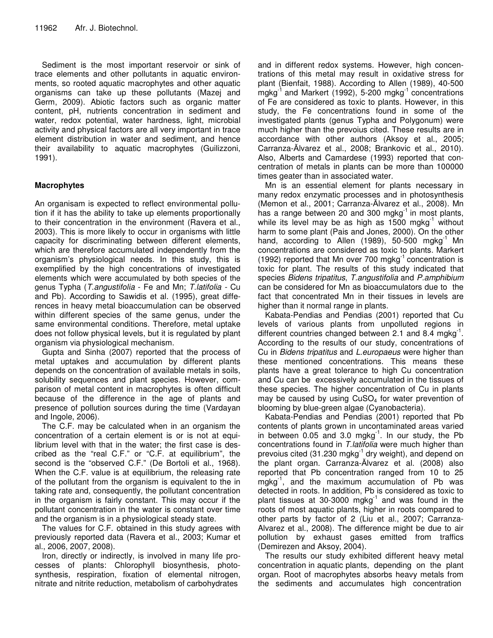Sediment is the most important reservoir or sink of trace elements and other pollutants in aquatic environments, so rooted aquatic macrophytes and other aquatic organisms can take up these pollutants (Mazej and Germ, 2009). Abiotic factors such as organic matter content, pH, nutrients concentration in sediment and water, redox potential, water hardness, light, microbial activity and physical factors are all very important in trace element distribution in water and sediment, and hence their availability to aquatic macrophytes (Guilizzoni, 1991).

# **Macrophytes**

An organisam is expected to reflect environmental pollution if it has the ability to take up elements proportionally to their concentration in the environment (Ravera et al., 2003). This is more likely to occur in organisms with little capacity for discriminating between different elements, which are therefore accumulated independently from the organism's physiological needs. In this study, this is exemplified by the high concentrations of investigated elements which were accumulated by both species of the genus Typha (*T.angustifolia* - Fe and Mn; *T.latifolia -* Cu and Pb). According to Sawidis et al. (1995), great differences in heavy metal bioaccumulation can be observed within different species of the same genus, under the same environmental conditions. Therefore, metal uptake does not follow physical levels, but it is regulated by plant organism via physiological mechanism.

Gupta and Sinha (2007) reported that the process of metal uptakes and accumulation by different plants depends on the concentration of available metals in soils, solubility sequences and plant species. However, comparison of metal content in macrophytes is often difficult because of the difference in the age of plants and presence of pollution sources during the time (Vardayan and Ingole, 2006).

The C.F. may be calculated when in an organism the concentration of a certain element is or is not at equilibrium level with that in the water; the first case is described as the "real C.F." or "C.F. at equilibrium", the second is the "observed C.F." (De Bortoli et al., 1968). When the C.F. value is at equilibrium, the releasing rate of the pollutant from the organism is equivalent to the in taking rate and, consequently, the pollutant concentration in the organism is fairly constant. This may occur if the pollutant concentration in the water is constant over time and the organism is in a physiological steady state.

The values for C.F. obtained in this study agrees with previously reported data (Ravera et al., 2003; Kumar et al., 2006, 2007, 2008).

Iron, directly or indirectly, is involved in many life processes of plants: Chlorophyll biosynthesis, photosynthesis, respiration, fixation of elemental nitrogen, nitrate and nitrite reduction, metabolism of carbohydrates

and in different redox systems. However, high concentrations of this metal may result in oxidative stress for plant (Bienfait, 1988). According to Allen (1989), 40-500 mgkg<sup>-1</sup> and Markert (1992), 5-200 mgkg<sup>-1</sup> concentrations of Fe are considered as toxic to plants. However, in this study, the Fe concentrations found in some of the investigated plants (genus Typha and Polygonum) were much higher than the prevoius cited. These results are in accordance with other authors (Aksoy et al., 2005; Carranza-Ălvarez et al., 2008; Brankovic et al., 2010). Also, Alberts and Camardese (1993) reported that concentration of metals in plants can be more than 100000 times geater than in associated water.

Mn is an essential element for plants necessary in many redox enzymatic processes and in photosynthesis (Memon et al., 2001; Carranza-Ălvarez et al., 2008). Mn has a range between 20 and 300 mgkg $^{-1}$  in most plants, while its level may be as high as 1500 mgkg $^1$  without harm to some plant (Pais and Jones, 2000). On the other hand, according to Allen (1989), 50-500 mgkg<sup>-1</sup> Mn concentrations are considered as toxic to plants. Markert (1992) reported that Mn over 700 mgkg $^{-1}$  concentration is toxic for plant. The results of this study indicated that species *Bidens tripatitus*, *T.angustifolia* and *P.amphibium* can be considered for Mn as bioaccumulators due to the fact that concentrated Mn in their tissues in levels are higher than it normal range in plants.

Kabata-Pendias and Pendias (2001) reported that Cu levels of various plants from unpolluted regions in different countries changed between 2.1 and 8.4 mgkg<sup>-1</sup>. According to the results of our study, concentrations of Cu in *Bidens tripatitus* and *L.europaeus* were higher than these mentioned concentrations. This means these plants have a great tolerance to high Cu concentration and Cu can be excessively accumulated in the tissues of these species. The higher concentration of Cu in plants may be caused by using  $CuSO<sub>4</sub>$  for water prevention of blooming by blue-green algae (Cyanobacteria).

Kabata-Pendias and Pendias (2001) reported that Pb contents of plants grown in uncontaminated areas varied in between 0.05 and 3.0 mgkg<sup>-1</sup>. In our study, the Pb concentrations found in *T.latifolia* were much higher than prevoius cited (31.230 mgkg<sup>-1</sup> dry weight), and depend on the plant organ. Carranza-Ălvarez et al. (2008) also reported that Pb concentration ranged from 10 to 25 mgkg<sup>-1</sup>, and the maximum accumulation of Pb was detected in roots. In addition, Pb is considered as toxic to plant tissues at 30-3000 mgkg<sup>-1</sup> and was found in the roots of most aquatic plants, higher in roots compared to other parts by factor of 2 (Liu et al., 2007; Carranza-Alvarez et al., 2008). The difference might be due to air pollution by exhaust gases emitted from traffics (Demirezen and Aksoy, 2004).

The results our study exhibited different heavy metal concentration in aquatic plants, depending on the plant organ. Root of macrophytes absorbs heavy metals from the sediments and accumulates high concentration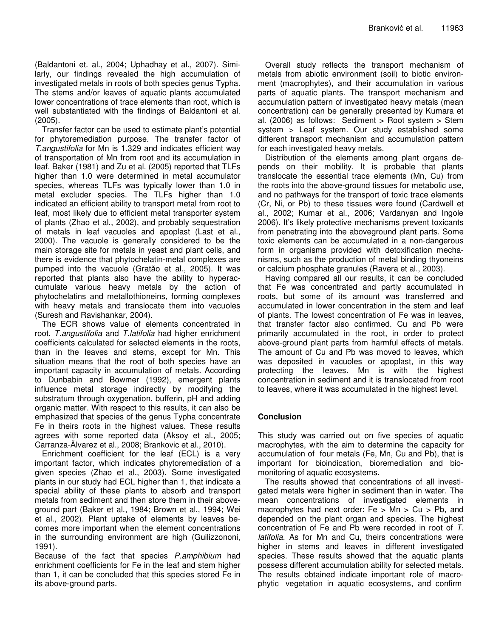(Baldantoni et. al., 2004; Uphadhay et al.*,* 2007). Similarly, our findings revealed the high accumulation of investigated metals in roots of both species genus Typha. The stems and/or leaves of aquatic plants accumulated lower concentrations of trace elements than root, which is well substantiated with the findings of Baldantoni et al. (2005).

Transfer factor can be used to estimate plant's potential for phytoremediation purpose. The transfer factor of *T.angustifolia* for Mn is 1.329 and indicates efficient way of transportation of Mn from root and its accumulation in leaf. Baker (1981) and Zu et al. (2005) reported that TLFs higher than 1.0 were determined in metal accumulator species, whereas TLFs was typically lower than 1.0 in metal excluder species. The TLFs higher than 1.0 indicated an efficient ability to transport metal from root to leaf, most likely due to efficient metal transporter system of plants (Zhao et al., 2002), and probably sequestration of metals in leaf vacuoles and apoplast (Last et al., 2000). The vacuole is generally considered to be the main storage site for metals in yeast and plant cells, and there is evidence that phytochelatin-metal complexes are pumped into the vacuole (Gratăo et al., 2005). It was reported that plants also have the ability to hyperaccumulate various heavy metals by the action of phytochelatins and metallothioneins, forming complexes with heavy metals and translocate them into vacuoles (Suresh and Ravishankar, 2004).

The ECR shows value of elements concentrated in root. *T.angustifolia* and *T.latifolia* had higher enrichment coefficients calculated for selected elements in the roots, than in the leaves and stems, except for Mn. This situation means that the root of both species have an important capacity in accumulation of metals. According to Dunbabin and Bowmer (1992), emergent plants influence metal storage indirectly by modifying the substratum through oxygenation, bufferin, pH and adding organic matter. With respect to this results, it can also be emphasized that species of the genus Typha concentrate Fe in theirs roots in the highest values. These results agrees with some reported data (Aksoy et al., 2005; Carranza-Ălvarez et al., 2008; Brankovic et al., 2010).

Enrichment coefficient for the leaf (ECL) is a very important factor, which indicates phytoremediation of a given species (Zhao et al., 2003). Some investigated plants in our study had ECL higher than 1, that indicate a special ability of these plants to absorb and transport metals from sediment and then store them in their aboveground part (Baker et al., 1984; Brown et al., 1994; Wei et al., 2002). Plant uptake of elements by leaves becomes more important when the element concentrations in the surrounding environment are high (Guilizzononi, 1991).

Because of the fact that species *P.amphibium* had enrichment coefficients for Fe in the leaf and stem higher than 1, it can be concluded that this species stored Fe in its above-ground parts.

Overall study reflects the transport mechanism of metals from abiotic environment (soil) to biotic environment (macrophytes), and their accumulation in various parts of aquatic plants. The transport mechanism and accumulation pattern of investigated heavy metals (mean concentration) can be generally presented by Kumara et al. (2006) as follows: Sediment > Root system > Stem system > Leaf system. Our study established some different transport mechanism and accumulation pattern for each investigated heavy metals.

Distribution of the elements among plant organs depends on their mobility. It is probable that plants translocate the essential trace elements (Mn, Cu) from the roots into the above-ground tissues for metabolic use, and no pathways for the transport of toxic trace elements (Cr, Ni, or Pb) to these tissues were found (Cardwell et al., 2002; Kumar et al., 2006; Vardanyan and Ingole 2006). It's likely protective mechanisms prevent toxicants from penetrating into the aboveground plant parts. Some toxic elements can be accumulated in a non-dangerous form in organisms provided with detoxification mechanisms, such as the production of metal binding thyoneins or calcium phosphate granules (Ravera et al., 2003).

Having compared all our results, it can be concluded that Fe was concentrated and partly accumulated in roots, but some of its amount was transferred and accumulated in lower concentration in the stem and leaf of plants. The lowest concentration of Fe was in leaves, that transfer factor also confirmed. Cu and Pb were primarily accumulated in the root, in order to protect above-ground plant parts from harmful effects of metals. The amount of Cu and Pb was moved to leaves, which was deposited in vacuoles or apoplast, in this way protecting the leaves. Mn is with the highest concentration in sediment and it is translocated from root to leaves, where it was accumulated in the highest level.

# **Conclusion**

This study was carried out on five species of aquatic macrophytes, with the aim to determine the capacity for accumulation of four metals (Fe, Mn, Cu and Pb), that is important for bioindication, bioremediation and biomonitoring of aquatic ecosystems.

The results showed that concentrations of all investigated metals were higher in sediment than in water. The mean concentrations of investigated elements in macrophytes had next order:  $Fe > Mn > Cu > Pb$ , and depended on the plant organ and species. The highest concentration of Fe and Pb were recorded in root of *T. latifolia*. As for Mn and Cu, theirs concentrations were higher in stems and leaves in different investigated species. These results showed that the aquatic plants possess different accumulation ability for selected metals. The results obtained indicate important role of macrophytic vegetation in aquatic ecosystems, and confirm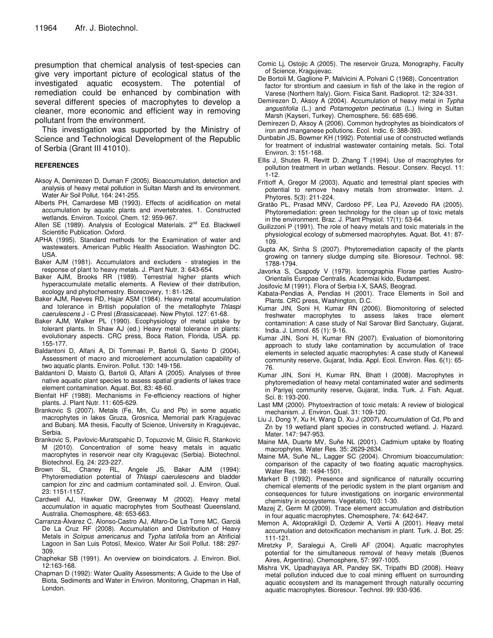presumption that chemical analysis of test-species can give very important picture of ecological status of the investigated aquatic ecosystem. The potential of remediation could be enhanced by combination with several different species of macrophytes to develop a cleaner, more economic and efficient way in removing pollutant from the environment.

This investigation was supported by the Ministry of Science and Technological Development of the Republic of Serbia (Grant III 41010).

#### **REFERENCES**

- Aksoy A, Demirezen D, Duman F (2005). Bioaccumulation, detection and analysis of heavy metal pollution in Sultan Marsh and its environment. Water Air Soil Pollut. 164: 241-255.
- Alberts PH, Camardese MB (1993). Effects of acidification on metal accumulation by aquatic plants and invertebrates. 1. Constructed wetlands. Environ. Toxicol. Chem. 12: 959-967.
- Allen SE (1989). Analysis of Ecological Materials. 2<sup>nd</sup> Ed. Blackwell Scientific Publication. Oxford.
- APHA (1995). Standard methods for the Examination of water and wastewaters. American Public Health Association. Washington DC. USA.
- Baker AJM (1981). Accumulators and excluders strategies in the response of plant to heavy metals. J. Plant Nutr. 3: 643-654.
- Baker AJM, Brooks RR (1989). Terrestrial higher plants which hyperaccumulate metallic elements. A Review of their distribution, ecology and phytochemestry. Biorecovery, 1: 81-126.
- Baker AJM, Reeves RD, Hajar ASM (1984). Heavy metal accumulation and tolerance in British population of the metallophyte *Thlaspi caerulescens* J - C Presl (*Brassicaceae*). New Phytol. 127: 61-68.
- Baker AJM, Walker PL (1990). Ecophysiology of metal uptake by tolerant plants. In Shaw AJ (ed.) Heavy metal tolerance in plants: evolutionary aspects. CRC press, Boca Ration, Florida, USA. pp. 155-177.
- Baldantoni D, Alfani A, Di Tommasi P, Bartoli G, Santo D (2004). Assessment of macro and microelement accumulation capability of two aquatic plants. Environ. Pollut. 130: 149-156.
- Baldantoni D, Maisto G, Bartoli G, Alfani A (2005). Analyses of three native aquatic plant species to assess spatial gradients of lakes trace element contamination. Aquat. Bot. 83: 48-60.
- Bienfait HF (1988). Mechanisms in Fe-efficiency reactions of higher plants. J. Plant Nutr. 11: 605-629.
- Brankovic S (2007). Metals (Fe, Mn, Cu and Pb) in some aquatic macrophytes in lakes Gruza, Grosnica, Memorial park Kragujevac and Bubanj. MA thesis, Faculty of Science, University in Kragujevac, Serbia.
- Brankovic S, Pavlovic-Muratspahic D, Topuzovic M, Glisic R, Stankovic M (2010). Concentration of some heavy metals in aquatic macrophytes in reservoir near city Kragujevac (Serbia). Biotechnol. Biotechnol. Eq. 24: 223-227.
- Brown SL, Chaney RL, Angele JS, Baker AJM (1994): Phytoremediation potential of *Thlaspi caerulescens* and bladder campion for zinc and cadmium contaminated soil. J. Environ. Qual. 23: 1151-1157.
- Cardwell AJ, Hawker DW, Greenway M (2002). Heavy metal accumulation in aquatic macrophytes from Southeast Queensland, Australia. Chemosphere, 48: 653-663.
- Carranza-Ălvarez C, Alonso-Castro AJ, Alfaro-De La Torre MC, Garciá De La Cruz RF (2008). Accumulation and Distribution of Heavy Metals in *Scirpus americanus* and *Typha latifolia* from an Atrificial Lagoon in San Luis Potosĭ, Mexico. Water Air Soil Pollut. 188: 297-309.
- Chaphekar SB (1991). An overview on bioindicators. J. Environ. Biol. 12:163-168.
- Chapman D (1992): Water Quality Assessments; A Guide to the Use of Biota, Sediments and Water in Environ. Monitoring, Chapman in Hall, London.
- Comic Lj, Ostojic A (2005). The reservoir Gruza, Monography, Faculty of Science, Kragujevac.
- De Bortoli M, Gaglione P, Malvicini A, Polvani C (1968). Concentration factor for strontium and caesium in fish of the lake in the region of Varese (Northern Italy). Giorn. Fisica Sanit. Radioprot. 12: 324-331.
- Demirezen D, Aksoy A (2004). Accumulation of heavy metal in *Typha angustifolia* (L.) and *Potamogeton pectinatus* (L.) living in Sultan Marsh (Kayseri, Turkey). Chemosphere, 56: 685-696.
- Demirezen D, Aksoy A (2006). Common hydrophytes as bioindicators of iron and manganese pollutions. Ecol. Indic. 6: 388-393.
- Dunbabin JS, Bowmer KH (1992). Potential use of constructed wetlands for treatment of industrial wastewater containing metals. Sci. Total Environ. 3: 151-168.
- Ellis J, Shutes R, Revitt D, Zhang T (1994). Use of macrophytes for pollution treatment in urban wetlands. Resour. Conserv. Recycl. 11: 1-12.
- Fritioff A, Gregor M (2003). Aquatic and terrestrial plant species with potential to remove heavy metals from stromwater. Intern. J. Phytores. 5(3): 211-224.
- Gratão PL, Prasad MNV, Cardoso PF, Lea PJ, Azevedo RA (2005). Phytoremediation: green technology for the clean up of toxic metals in the environment. Braz. J. Plant Physiol. 17(1): 53-64.
- Guilizzoni P (1991). The role of heavy metals and toxic materials in the physiological ecology of submersed macrophytes. Aquat. Bot. 41: 87- 109.
- Gupta AK, Sinha S (2007). Phytoremediation capacity of the plants growing on tannery sludge dumping site. Bioresour. Technol. 98: 1788-1794.
- Javorka S, Csapody V (1979). Iconographia Florae parties Austro-Orientalis Europae Centralis. Academiai kido, Budampest.
- Josifovic M (1991). Flora of Serbia I-X, SAAS, Beograd.
- Kabata-Pendias A, Pendias H (2001). Trace Elements in Soil and Plants. CRC press, Washington, D.C.
- Kumar JIN, Soni H, Kumar RN (2006). Biomonitoring of selected freshwater macrophytes to assess lakes trace element contamination: A case study of Nal Sarovar Bird Sanctuary, Gujarat, India. J. Limnol. 65 (1): 9-16.
- Kumar JIN, Soni H, Kumar RN (2007). Evaluation of biomonitoring approach to study lake contamination by accumulation of trace elements in selected aquatic macrophytes: A case study of Kanewal community reserve, Gujarat, India. Appl. Ecol. Environ. Res. 6(1): 65- 76.
- Kumar JIN, Soni H, Kumar RN, Bhatt I (2008). Macrophytes in phytoremediation of heavy metal contaminated water and sediments in Pariyej community reserve, Gujarat, India. Turk. J. Fish. Aquat. Sci. 8: 193-200.
- Last MM (2000). Phytoextraction of toxic metals: A review of biological mechanism. J. Environ. Qual. 31: 109-120.
- Liu J, Dong Y, Xu H, Wang D, Xu J (2007). Accumulation of Cd, Pb and Zn by 19 wetland plant species in constructed wetland. J. Hazard. Mater. 147: 947-953.
- Maine MA, Duarte MV, Suňe NL (2001). Cadmium uptake by floating macrophytes. Water Res. 35: 2629-2634.
- Maine MA, Suňe NL, Lagger SC (2004). Chromium bioaccumulation: comparison of the capacity of two floating aquatic macrophysics. Water Res. 38: 1494-1501.
- Markert B (1992). Presence and significance of naturally occurring chemical elements of the periodic system in the plant organism and consequences for future investigations on inorganic environmental chemistry in ecosystems. Vegetatio, 103: 1-30.
- Mazej Z, Germ M (2009). Trace element accumulation and distribution in four aquatic macrophytes. Chemosphere, 74: 642-647.
- Memon A, Aktoprakligil D, Ozdemir A, Vertii A (2001). Heavy metal accumulation and detoxification mechanism in plant. Turk. J. Bot. 25: 111-121.
- Miretzky P, Saralegui A, Cirelli AF (2004). Aquatic macrophytes potential for the simultaneous removal of heavy metals (Buenos Aires, Argentina). Chemosphere, 57: 997-1005.
- Mishra VK, Upadhayaya AR, Pandey SK, Tripathi BD (2008). Heavy metal pollution induced due to coal mining effluent on surrounding aquatic ecosystem and its management through naturally occurring aquatic macrophytes. Bioresour. Technol. 99: 930-936.